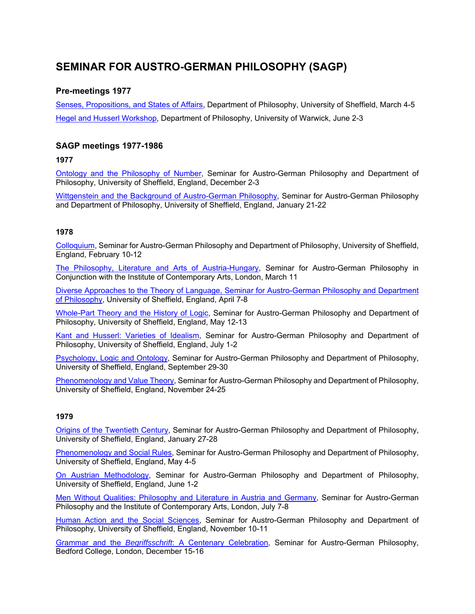# **SEMINAR FOR AUSTRO-GERMAN PHILOSOPHY (SAGP)**

# **Pre-meetings 1977**

Senses, Propositions, and States of Affairs, Department of Philosophy, University of Sheffield, March 4-5 Hegel and Husserl Workshop, Department of Philosophy, University of Warwick, June 2-3

# **SAGP meetings 1977-1986**

**1977** 

Ontology and the Philosophy of Number, Seminar for Austro-German Philosophy and Department of Philosophy, University of Sheffield, England, December 2-3

Wittgenstein and the Background of Austro-German Philosophy, Seminar for Austro-German Philosophy and Department of Philosophy, University of Sheffield, England, January 21-22

## **1978**

Colloquium, Seminar for Austro-German Philosophy and Department of Philosophy, University of Sheffield, England, February 10-12

The Philosophy, Literature and Arts of Austria-Hungary, Seminar for Austro-German Philosophy in Conjunction with the Institute of Contemporary Arts, London, March 11

Diverse Approaches to the Theory of Language, Seminar for Austro-German Philosophy and Department of Philosophy, University of Sheffield, England, April 7-8

Whole-Part Theory and the History of Logic, Seminar for Austro-German Philosophy and Department of Philosophy, University of Sheffield, England, May 12-13

Kant and Husserl: Varieties of Idealism, Seminar for Austro-German Philosophy and Department of Philosophy, University of Sheffield, England, July 1-2

Psychology, Logic and Ontology, Seminar for Austro-German Philosophy and Department of Philosophy, University of Sheffield, England, September 29-30

Phenomenology and Value Theory, Seminar for Austro-German Philosophy and Department of Philosophy, University of Sheffield, England, November 24-25

## **1979**

Origins of the Twentieth Century, Seminar for Austro-German Philosophy and Department of Philosophy, University of Sheffield, England, January 27-28

Phenomenology and Social Rules, Seminar for Austro-German Philosophy and Department of Philosophy, University of Sheffield, England, May 4-5

On Austrian Methodology, Seminar for Austro-German Philosophy and Department of Philosophy, University of Sheffield, England, June 1-2

Men Without Qualities: Philosophy and Literature in Austria and Germany, Seminar for Austro-German Philosophy and the Institute of Contemporary Arts, London, July 7-8

Human Action and the Social Sciences, Seminar for Austro-German Philosophy and Department of Philosophy, University of Sheffield, England, November 10-11

Grammar and the *Begriffsschrift*: A Centenary Celebration, Seminar for Austro-German Philosophy, Bedford College, London, December 15-16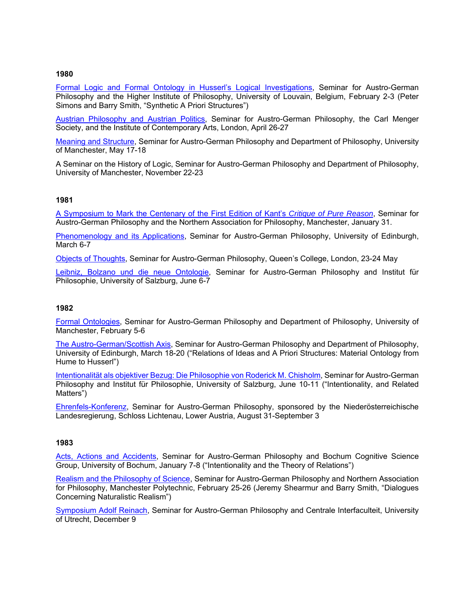### **1980**

Formal Logic and Formal Ontology in Husserl's Logical Investigations, Seminar for Austro-German Philosophy and the Higher Institute of Philosophy, University of Louvain, Belgium, February 2-3 (Peter Simons and Barry Smith, "Synthetic A Priori Structures")

Austrian Philosophy and Austrian Politics, Seminar for Austro-German Philosophy, the Carl Menger Society, and the Institute of Contemporary Arts, London, April 26-27

Meaning and Structure, Seminar for Austro-German Philosophy and Department of Philosophy, University of Manchester, May 17-18

A Seminar on the History of Logic, Seminar for Austro-German Philosophy and Department of Philosophy, University of Manchester, November 22-23

## **1981**

A Symposium to Mark the Centenary of the First Edition of Kant's *Critique of Pure Reason*, Seminar for Austro-German Philosophy and the Northern Association for Philosophy, Manchester, January 31.

Phenomenology and its Applications, Seminar for Austro-German Philosophy, University of Edinburgh, March 6-7

Objects of Thoughts, Seminar for Austro-German Philosophy, Queen's College, London, 23-24 May

Leibniz, Bolzano und die neue Ontologie, Seminar for Austro-German Philosophy and Institut für Philosophie, University of Salzburg, June 6-7

#### **1982**

Formal Ontologies, Seminar for Austro-German Philosophy and Department of Philosophy, University of Manchester, February 5-6

The Austro-German/Scottish Axis, Seminar for Austro-German Philosophy and Department of Philosophy, University of Edinburgh, March 18-20 ("Relations of Ideas and A Priori Structures: Material Ontology from Hume to Husserl")

Intentionalität als objektiver Bezug: Die Philosophie von Roderick M. Chisholm, Seminar for Austro-German Philosophy and Institut für Philosophie, University of Salzburg, June 10-11 ("Intentionality, and Related Matters")

Ehrenfels-Konferenz, Seminar for Austro-German Philosophy, sponsored by the Niederösterreichische Landesregierung, Schloss Lichtenau, Lower Austria, August 31-September 3

#### **1983**

Acts, Actions and Accidents, Seminar for Austro-German Philosophy and Bochum Cognitive Science Group, University of Bochum, January 7-8 ("Intentionality and the Theory of Relations")

Realism and the Philosophy of Science, Seminar for Austro-German Philosophy and Northern Association for Philosophy, Manchester Polytechnic, February 25-26 (Jeremy Shearmur and Barry Smith, "Dialogues Concerning Naturalistic Realism")

Symposium Adolf Reinach, Seminar for Austro-German Philosophy and Centrale Interfaculteit, University of Utrecht, December 9